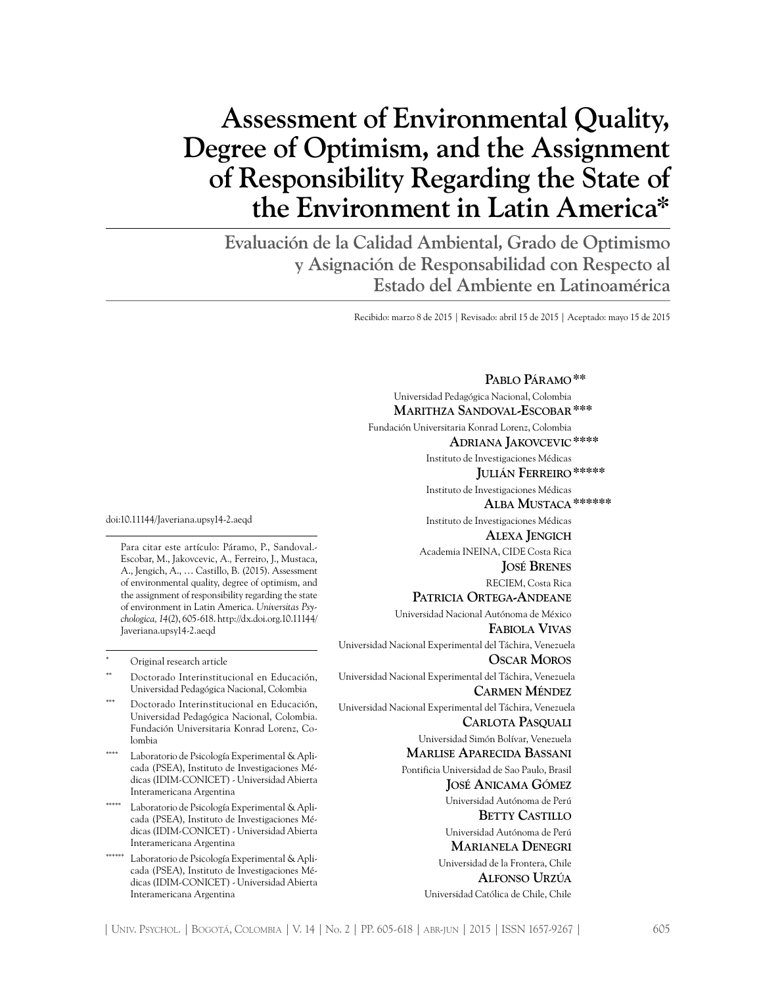# **Assessment of Environmental Quality, Degree of Optimism, and the Assignment of Responsibility Regarding the State of the Environment in Latin America\***

**Evaluación de la Calidad Ambiental, Grado de Optimismo y Asignación de Responsabilidad con Respecto al Estado del Ambiente en Latinoamérica**

Recibido: marzo 8 de 2015 | Revisado: abril 15 de 2015 | Aceptado: mayo 15 de 2015

doi:10.11144/Javeriana.upsy14-2.aeqd

Para citar este artículo: Páramo, P., Sandoval.- Escobar, M., Jakovcevic, A*.,* Ferreiro, J., Mustaca, A., Jengich, A., … Castillo, B. (2015). Assessment of environmental quality, degree of optimism, and the assignment of responsibility regarding the state of environment in Latin America. *Universitas Psychologica, 14*(2), 605-618. http://dx.doi.org.10.11144/ Javeriana.upsy14-2.aeqd

Original research article

- Doctorado Interinstitucional en Educación, Universidad Pedagógica Nacional, Colombia
- Doctorado Interinstitucional en Educación, Universidad Pedagógica Nacional, Colombia. Fundación Universitaria Konrad Lorenz, Colombia
- Laboratorio de Psicología Experimental & Aplicada (PSEA), Instituto de Investigaciones Médicas (IDIM-CONICET) - Universidad Abierta Interamericana Argentina
- Laboratorio de Psicología Experimental & Aplicada (PSEA), Instituto de Investigaciones Médicas (IDIM-CONICET) - Universidad Abierta Interamericana Argentina
- \*\*\*\*\*\* Laboratorio de Psicología Experimental & Aplicada (PSEA), Instituto de Investigaciones Médicas (IDIM-CONICET) - Universidad Abierta Interamericana Argentina

**Pablo Páramo\*\*** Universidad Pedagógica Nacional, Colombia  **Marithza Sandoval-Escobar\*\*\***  Fundación Universitaria Konrad Lorenz, Colombia  **Adriana Jakovcevic\*\*\*\*** Instituto de Investigaciones Médicas **Julián Ferreiro\*\*\*\*\*** Instituto de Investigaciones Médicas  **Alba Mustaca\*\*\*\*\*\*** Instituto de Investigaciones Médicas  **Alexa Jengich** Academia INEINA, CIDE Costa Rica **José Brenes** RECIEM, Costa Rica **Patricia Ortega-Andeane** Universidad Nacional Autónoma de México **Fabiola Vivas** Universidad Nacional Experimental del Táchira, Venezuela  **Oscar Moros** Universidad Nacional Experimental del Táchira, Venezuela  **Carmen Méndez** Universidad Nacional Experimental del Táchira, Venezuela  **Carlota Pasquali** Universidad Simón Bolívar, Venezuela  **Marlise Aparecida Bassani** Pontificia Universidad de Sao Paulo, Brasil **José Anicama Gómez** Universidad Autónoma de Perú  **Betty Castillo** Universidad Autónoma de Perú  **Marianela Denegri** Universidad de la Frontera, Chile  **Alfonso Urzúa** Universidad Católica de Chile, Chile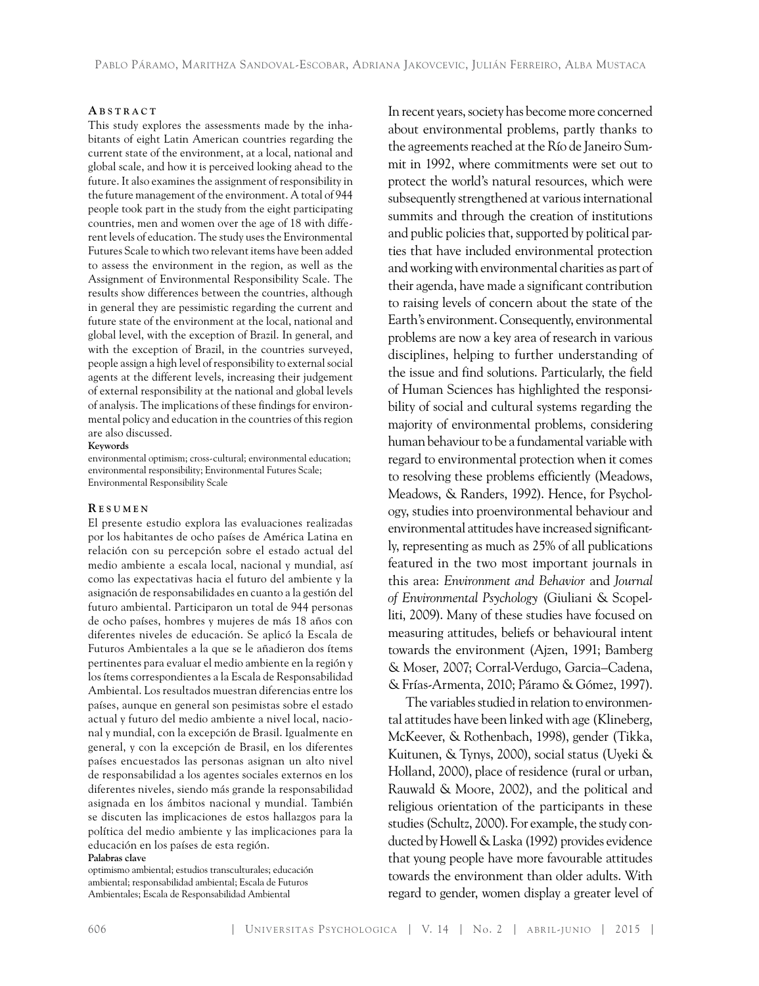#### **A b s t r a c t**

This study explores the assessments made by the inhabitants of eight Latin American countries regarding the current state of the environment, at a local, national and global scale, and how it is perceived looking ahead to the future. It also examines the assignment of responsibility in the future management of the environment. A total of 944 people took part in the study from the eight participating countries, men and women over the age of 18 with different levels of education. The study uses the Environmental Futures Scale to which two relevant items have been added to assess the environment in the region, as well as the Assignment of Environmental Responsibility Scale. The results show differences between the countries, although in general they are pessimistic regarding the current and future state of the environment at the local, national and global level, with the exception of Brazil. In general, and with the exception of Brazil, in the countries surveyed, people assign a high level of responsibility to external social agents at the different levels, increasing their judgement of external responsibility at the national and global levels of analysis. The implications of these findings for environmental policy and education in the countries of this region are also discussed.

#### **Keywords**

environmental optimism; cross-cultural; environmental education; environmental responsibility; Environmental Futures Scale; Environmental Responsibility Scale

#### **R es u m e n**

El presente estudio explora las evaluaciones realizadas por los habitantes de ocho países de América Latina en relación con su percepción sobre el estado actual del medio ambiente a escala local, nacional y mundial, así como las expectativas hacia el futuro del ambiente y la asignación de responsabilidades en cuanto a la gestión del futuro ambiental. Participaron un total de 944 personas de ocho países, hombres y mujeres de más 18 años con diferentes niveles de educación. Se aplicó la Escala de Futuros Ambientales a la que se le añadieron dos ítems pertinentes para evaluar el medio ambiente en la región y los ítems correspondientes a la Escala de Responsabilidad Ambiental. Los resultados muestran diferencias entre los países, aunque en general son pesimistas sobre el estado actual y futuro del medio ambiente a nivel local, nacional y mundial, con la excepción de Brasil. Igualmente en general, y con la excepción de Brasil, en los diferentes países encuestados las personas asignan un alto nivel de responsabilidad a los agentes sociales externos en los diferentes niveles, siendo más grande la responsabilidad asignada en los ámbitos nacional y mundial. También se discuten las implicaciones de estos hallazgos para la política del medio ambiente y las implicaciones para la educación en los países de esta región. **Palabras clave**

optimismo ambiental; estudios transculturales; educación ambiental; responsabilidad ambiental; Escala de Futuros Ambientales; Escala de Responsabilidad Ambiental

In recent years, society has become more concerned about environmental problems, partly thanks to the agreements reached at the Río de Janeiro Summit in 1992, where commitments were set out to protect the world's natural resources, which were subsequently strengthened at various international summits and through the creation of institutions and public policies that, supported by political parties that have included environmental protection and working with environmental charities as part of their agenda, have made a significant contribution to raising levels of concern about the state of the Earth's environment. Consequently, environmental problems are now a key area of research in various disciplines, helping to further understanding of the issue and find solutions. Particularly, the field of Human Sciences has highlighted the responsibility of social and cultural systems regarding the majority of environmental problems, considering human behaviour to be a fundamental variable with regard to environmental protection when it comes to resolving these problems efficiently (Meadows, Meadows, & Randers, 1992). Hence, for Psychology, studies into proenvironmental behaviour and environmental attitudes have increased significantly, representing as much as 25% of all publications featured in the two most important journals in this area: *Environment and Behavior* and *Journal of Environmental Psychology* (Giuliani & Scopelliti, 2009). Many of these studies have focused on measuring attitudes, beliefs or behavioural intent towards the environment (Ajzen, 1991; Bamberg & Moser, 2007; Corral-Verdugo, Garcia–Cadena, & Frías-Armenta, 2010; Páramo & Gómez, 1997).

The variables studied in relation to environmental attitudes have been linked with age (Klineberg, McKeever, & Rothenbach, 1998), gender (Tikka, Kuitunen, & Tynys, 2000), social status (Uyeki & Holland, 2000), place of residence (rural or urban, Rauwald & Moore, 2002), and the political and religious orientation of the participants in these studies (Schultz, 2000). For example, the study conducted by Howell & Laska (1992) provides evidence that young people have more favourable attitudes towards the environment than older adults. With regard to gender, women display a greater level of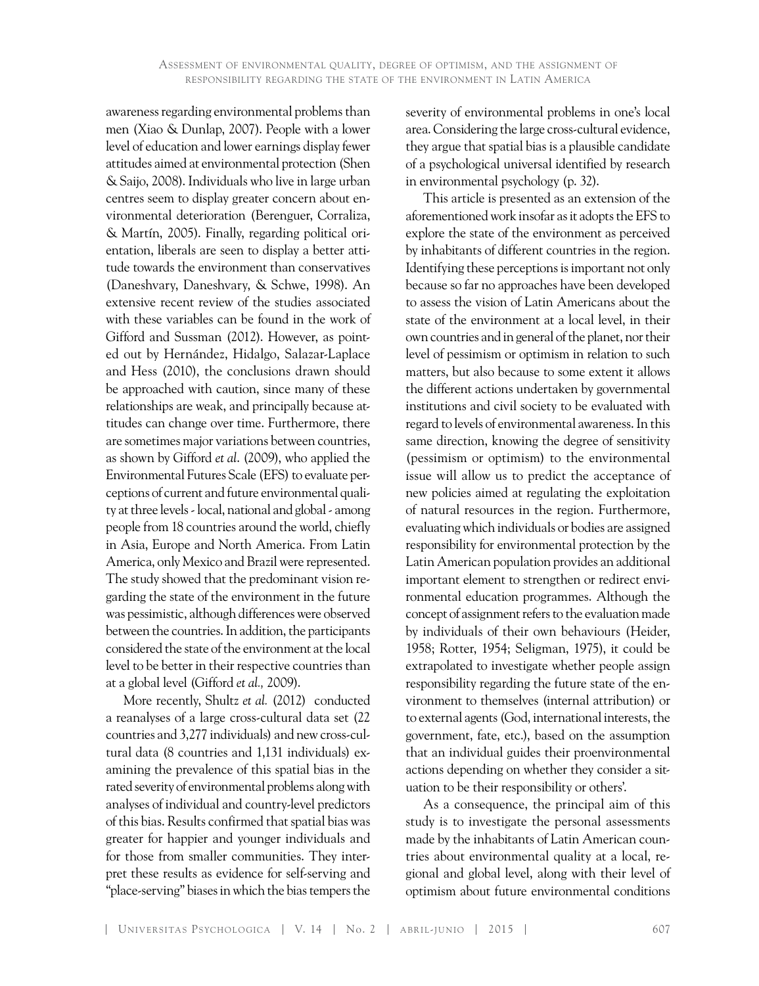awareness regarding environmental problems than men (Xiao & Dunlap, 2007). People with a lower level of education and lower earnings display fewer attitudes aimed at environmental protection (Shen & Saijo, 2008). Individuals who live in large urban centres seem to display greater concern about environmental deterioration (Berenguer, Corraliza, & Martín, 2005). Finally, regarding political orientation, liberals are seen to display a better attitude towards the environment than conservatives (Daneshvary, Daneshvary, & Schwe, 1998). An extensive recent review of the studies associated with these variables can be found in the work of Gifford and Sussman (2012). However, as pointed out by Hernández, Hidalgo, Salazar-Laplace and Hess (2010), the conclusions drawn should be approached with caution, since many of these relationships are weak, and principally because attitudes can change over time. Furthermore, there are sometimes major variations between countries, as shown by Gifford *et al*. (2009), who applied the Environmental Futures Scale (EFS) to evaluate perceptions of current and future environmental quality at three levels - local, national and global - among people from 18 countries around the world, chiefly in Asia, Europe and North America. From Latin America, only Mexico and Brazil were represented. The study showed that the predominant vision regarding the state of the environment in the future was pessimistic, although differences were observed between the countries. In addition, the participants considered the state of the environment at the local level to be better in their respective countries than at a global level (Gifford *et al.,* 2009).

More recently, Shultz *et al.* (2012) conducted a reanalyses of a large cross-cultural data set (22 countries and 3,277 individuals) and new cross-cultural data (8 countries and 1,131 individuals) examining the prevalence of this spatial bias in the rated severity of environmental problems along with analyses of individual and country-level predictors of this bias. Results confirmed that spatial bias was greater for happier and younger individuals and for those from smaller communities. They interpret these results as evidence for self-serving and "place-serving" biases in which the bias tempers the

severity of environmental problems in one's local area. Considering the large cross-cultural evidence, they argue that spatial bias is a plausible candidate of a psychological universal identified by research in environmental psychology (p. 32).

This article is presented as an extension of the aforementioned work insofar as it adopts the EFS to explore the state of the environment as perceived by inhabitants of different countries in the region. Identifying these perceptions is important not only because so far no approaches have been developed to assess the vision of Latin Americans about the state of the environment at a local level, in their own countries and in general of the planet, nor their level of pessimism or optimism in relation to such matters, but also because to some extent it allows the different actions undertaken by governmental institutions and civil society to be evaluated with regard to levels of environmental awareness. In this same direction, knowing the degree of sensitivity (pessimism or optimism) to the environmental issue will allow us to predict the acceptance of new policies aimed at regulating the exploitation of natural resources in the region. Furthermore, evaluating which individuals or bodies are assigned responsibility for environmental protection by the Latin American population provides an additional important element to strengthen or redirect environmental education programmes. Although the concept of assignment refers to the evaluation made by individuals of their own behaviours (Heider, 1958; Rotter, 1954; Seligman, 1975), it could be extrapolated to investigate whether people assign responsibility regarding the future state of the environment to themselves (internal attribution) or to external agents (God, international interests, the government, fate, etc.), based on the assumption that an individual guides their proenvironmental actions depending on whether they consider a situation to be their responsibility or others'.

As a consequence, the principal aim of this study is to investigate the personal assessments made by the inhabitants of Latin American countries about environmental quality at a local, regional and global level, along with their level of optimism about future environmental conditions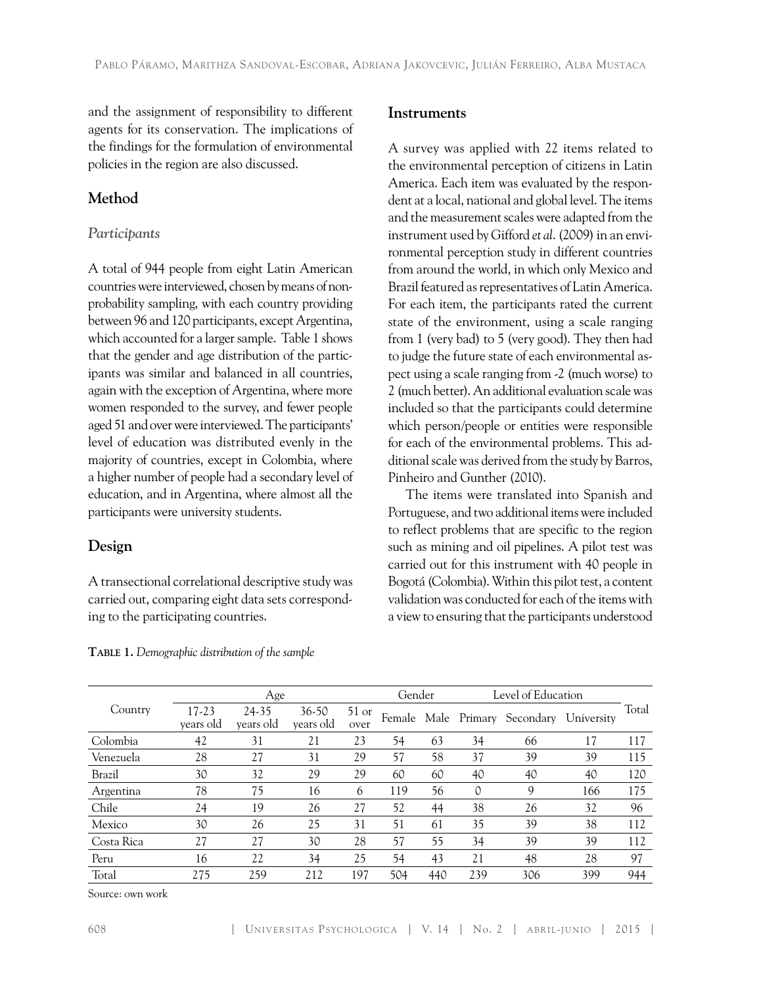and the assignment of responsibility to different agents for its conservation. The implications of the findings for the formulation of environmental policies in the region are also discussed.

# **Method**

## *Participants*

A total of 944 people from eight Latin American countries were interviewed, chosen by means of nonprobability sampling, with each country providing between 96 and 120 participants, except Argentina, which accounted for a larger sample. Table 1 shows that the gender and age distribution of the participants was similar and balanced in all countries, again with the exception of Argentina, where more women responded to the survey, and fewer people aged 51 and over were interviewed. The participants' level of education was distributed evenly in the majority of countries, except in Colombia, where a higher number of people had a secondary level of education, and in Argentina, where almost all the participants were university students.

# **Design**

A transectional correlational descriptive study was carried out, comparing eight data sets corresponding to the participating countries.

## **Instruments**

A survey was applied with 22 items related to the environmental perception of citizens in Latin America. Each item was evaluated by the respondent at a local, national and global level. The items and the measurement scales were adapted from the instrument used by Gifford *et al*. (2009) in an environmental perception study in different countries from around the world, in which only Mexico and Brazil featured as representatives of Latin America. For each item, the participants rated the current state of the environment, using a scale ranging from 1 (very bad) to 5 (very good). They then had to judge the future state of each environmental aspect using a scale ranging from -2 (much worse) to 2 (much better). An additional evaluation scale was included so that the participants could determine which person/people or entities were responsible for each of the environmental problems. This additional scale was derived from the study by Barros, Pinheiro and Gunther (2010).

The items were translated into Spanish and Portuguese, and two additional items were included to reflect problems that are specific to the region such as mining and oil pipelines. A pilot test was carried out for this instrument with 40 people in Bogotá (Colombia). Within this pilot test, a content validation was conducted for each of the items with a view to ensuring that the participants understood

|            |                    | Age                |                        |                 | Gender |     | Level of Education |                               |            |       |
|------------|--------------------|--------------------|------------------------|-----------------|--------|-----|--------------------|-------------------------------|------------|-------|
| Country    | 17-23<br>years old | 24-35<br>years old | $36 - 50$<br>years old | $51$ or<br>over |        |     |                    | Female Male Primary Secondary | University | Total |
| Colombia   | 42                 | 31                 | 21                     | 23              | 54     | 63  | 34                 | 66                            | 17         | 117   |
| Venezuela  | 28                 | 27                 | 31                     | 29              | 57     | 58  | 37                 | 39                            | 39         | 115   |
| Brazil     | 30                 | 32                 | 29                     | 29              | 60     | 60  | 40                 | 40                            | 40         | 120   |
| Argentina  | 78                 | 75                 | 16                     | 6               | 119    | 56  | $\circ$            | 9                             | 166        | 175   |
| Chile      | 24                 | 19                 | 26                     | 27              | 52     | 44  | 38                 | 26                            | 32         | 96    |
| Mexico     | 30                 | 26                 | 25                     | 31              | 51     | 61  | 35                 | 39                            | 38         | 112   |
| Costa Rica | 27                 | 27                 | 30                     | 28              | 57     | 55  | 34                 | 39                            | 39         | 112   |
| Peru       | 16                 | 22                 | 34                     | 25              | 54     | 43  | 21                 | 48                            | 28         | 97    |
| Total      | 275                | 259                | 212                    | 197             | 504    | 440 | 239                | 306                           | 399        | 944   |

**Table 1.** *Demographic distribution of the sample* 

Source: own work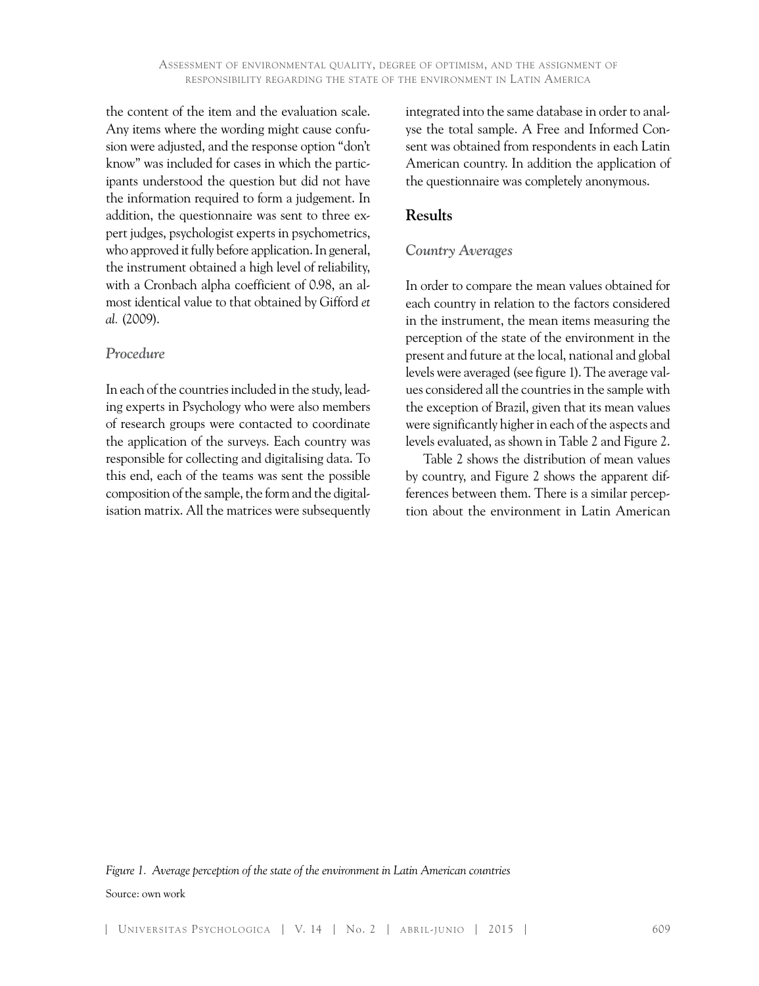the content of the item and the evaluation scale. Any items where the wording might cause confusion were adjusted, and the response option "don't know" was included for cases in which the participants understood the question but did not have the information required to form a judgement. In addition, the questionnaire was sent to three expert judges, psychologist experts in psychometrics, who approved it fully before application. In general, the instrument obtained a high level of reliability, with a Cronbach alpha coefficient of 0.98, an almost identical value to that obtained by Gifford *et al.* (2009).

#### *Procedure*

In each of the countries included in the study, leading experts in Psychology who were also members of research groups were contacted to coordinate the application of the surveys. Each country was responsible for collecting and digitalising data. To this end, each of the teams was sent the possible composition of the sample, the form and the digitalisation matrix. All the matrices were subsequently integrated into the same database in order to analyse the total sample. A Free and Informed Consent was obtained from respondents in each Latin American country. In addition the application of the questionnaire was completely anonymous.

## **Results**

#### *Country Averages*

In order to compare the mean values obtained for each country in relation to the factors considered in the instrument, the mean items measuring the perception of the state of the environment in the present and future at the local, national and global levels were averaged (see figure 1). The average values considered all the countries in the sample with the exception of Brazil, given that its mean values were significantly higher in each of the aspects and levels evaluated, as shown in Table 2 and Figure 2.

Table 2 shows the distribution of mean values by country, and Figure 2 shows the apparent differences between them. There is a similar perception about the environment in Latin American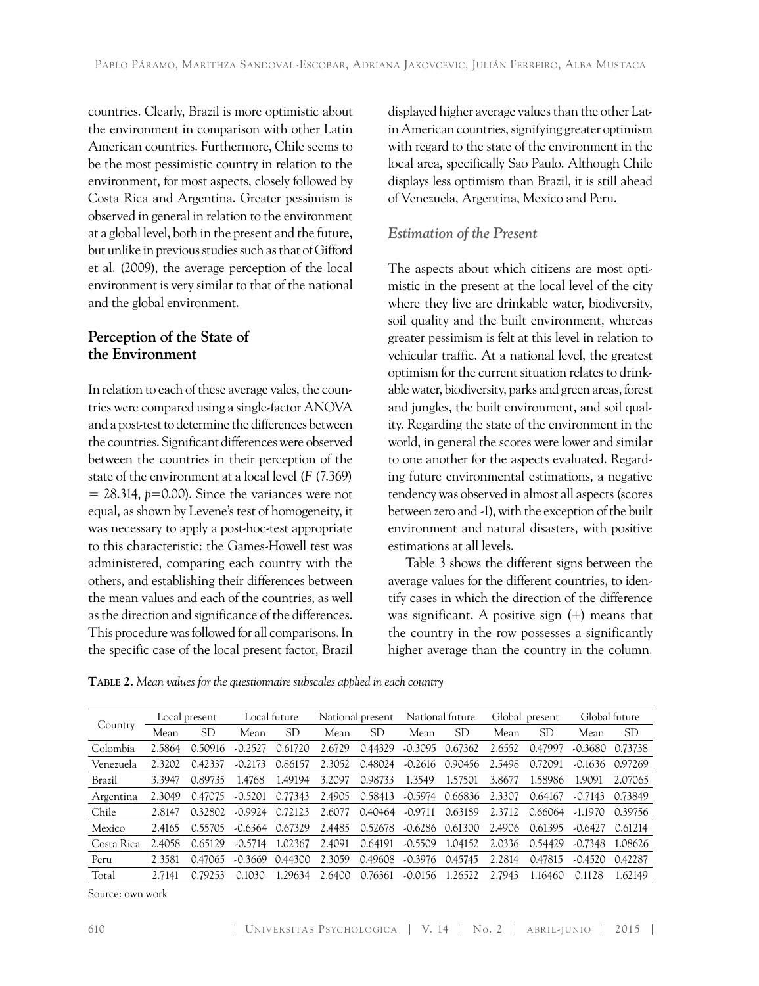countries. Clearly, Brazil is more optimistic about the environment in comparison with other Latin American countries. Furthermore, Chile seems to be the most pessimistic country in relation to the environment, for most aspects, closely followed by Costa Rica and Argentina. Greater pessimism is observed in general in relation to the environment at a global level, both in the present and the future, but unlike in previous studies such as that of Gifford et al. (2009), the average perception of the local environment is very similar to that of the national and the global environment.

# **Perception of the State of the Environment**

In relation to each of these average vales, the countries were compared using a single-factor ANOVA and a post-test to determine the differences between the countries. Significant differences were observed between the countries in their perception of the state of the environment at a local level (*F* (7.369)  $= 28.314$ ,  $p=0.00$ ). Since the variances were not equal, as shown by Levene's test of homogeneity, it was necessary to apply a post-hoc-test appropriate to this characteristic: the Games-Howell test was administered, comparing each country with the others, and establishing their differences between the mean values and each of the countries, as well as the direction and significance of the differences. This procedure was followed for all comparisons. In the specific case of the local present factor, Brazil

displayed higher average values than the other Latin American countries, signifying greater optimism with regard to the state of the environment in the local area, specifically Sao Paulo. Although Chile displays less optimism than Brazil, it is still ahead of Venezuela, Argentina, Mexico and Peru.

# *Estimation of the Present*

The aspects about which citizens are most optimistic in the present at the local level of the city where they live are drinkable water, biodiversity, soil quality and the built environment, whereas greater pessimism is felt at this level in relation to vehicular traffic. At a national level, the greatest optimism for the current situation relates to drinkable water, biodiversity, parks and green areas, forest and jungles, the built environment, and soil quality. Regarding the state of the environment in the world, in general the scores were lower and similar to one another for the aspects evaluated. Regarding future environmental estimations, a negative tendency was observed in almost all aspects (scores between zero and -1), with the exception of the built environment and natural disasters, with positive estimations at all levels.

Table 3 shows the different signs between the average values for the different countries, to identify cases in which the direction of the difference was significant. A positive sign (+) means that the country in the row possesses a significantly higher average than the country in the column.

**Table 2.** *Mean values for the questionnaire subscales applied in each country*

| Country    | Local present |         | Local future |         | National present |         | National future |         | Global present |         | Global future |           |
|------------|---------------|---------|--------------|---------|------------------|---------|-----------------|---------|----------------|---------|---------------|-----------|
|            | Mean          | SD      | Mean         | SD      | Mean             | SD      | Mean            | SD      | Mean           | SD      | Mean          | <b>SD</b> |
| Colombia   | 2.5864        | 0.50916 | $-0.2527$    | 0.61720 | 2.6729           | 0.44329 | $-0.3095$       | 0.67362 | 2.6552         | 0.47997 | $-0.3680$     | 0.73738   |
| Venezuela  | 2.3202        | 0.42337 | $-0.2173$    | 0.86157 | 2.3052           | 0.48024 | $-0.2616$       | 0.90456 | 2.5498         | 0.72091 | $-0.1636$     | 0.97269   |
| Brazil     | 3.3947        | 0.89735 | 1.4768       | 1.49194 | 3.2097           | 0.98733 | 1.3549          | 1.57501 | 3.8677         | 1.58986 | 1.9091        | 2.07065   |
| Argentina  | 2.3049        | 0.47075 | $-0.5201$    | 0.77343 | 2.4905           | 0.58413 | $-0.5974$       | 0.66836 | 2.3307         | 0.64167 | $-0.7143$     | 0.73849   |
| Chile      | 2.8147        | 0.32802 | $-0.9924$    | 0.72123 | 2.6077           | 0.40464 | $-0.9711$       | 0.63189 | 2.3712         | 0.66064 | $-1.1970$     | 0.39756   |
| Mexico     | 2.4165        | 0.55705 | $-0.6364$    | 0.67329 | 2.4485           | 0.52678 | $-0.6286$       | 0.61300 | 2.4906         | 0.61395 | $-0.6427$     | 0.61214   |
| Costa Rica | 2.4058        | 0.65129 | $-0.5714$    | 1.02367 | 2.4091           | 0.64191 | $-0.5509$       | 1.04152 | 2.0336         | 0.54429 | $-0.7348$     | 1.08626   |
| Peru       | 2.3581        | 0.47065 | $-0.3669$    | 0.44300 | 2.3059           | 0.49608 | $-0.3976$       | 0.45745 | 2.2814         | 0.47815 | $-0.4520$     | 0.42287   |
| Total      | 2.7141        | 0.79253 | 0.1030       | 1.29634 | 2.6400           | 0.76361 | $-0.0156$       | .26522  | 2.7943         | 1.16460 | 0.1128        | 1.62149   |

Source: own work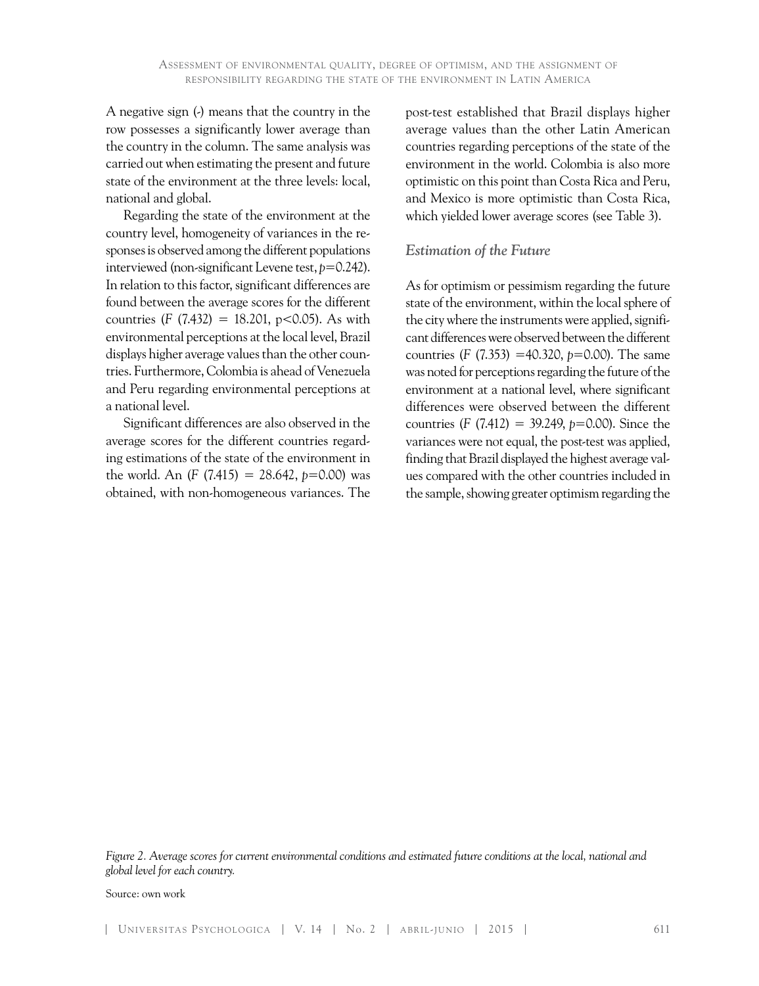A negative sign (-) means that the country in the row possesses a significantly lower average than the country in the column. The same analysis was carried out when estimating the present and future state of the environment at the three levels: local, national and global.

Regarding the state of the environment at the country level, homogeneity of variances in the responses is observed among the different populations interviewed (non-significant Levene test, *p*=0.242). In relation to this factor, significant differences are found between the average scores for the different countries (*F* (7.432) = 18.201, p<0.05). As with environmental perceptions at the local level, Brazil displays higher average values than the other countries. Furthermore, Colombia is ahead of Venezuela and Peru regarding environmental perceptions at a national level.

Significant differences are also observed in the average scores for the different countries regarding estimations of the state of the environment in the world. An  $(F (7.415) = 28.642, p=0.00)$  was obtained, with non-homogeneous variances. The post-test established that Brazil displays higher average values than the other Latin American countries regarding perceptions of the state of the environment in the world. Colombia is also more optimistic on this point than Costa Rica and Peru, and Mexico is more optimistic than Costa Rica, which yielded lower average scores (see Table 3).

#### *Estimation of the Future*

As for optimism or pessimism regarding the future state of the environment, within the local sphere of the city where the instruments were applied, significant differences were observed between the different countries (*F* (7.353) =40.320, *p*=0.00). The same was noted for perceptions regarding the future of the environment at a national level, where significant differences were observed between the different countries (*F* (7.412) = 39.249, *p*=0.00). Since the variances were not equal, the post-test was applied, finding that Brazil displayed the highest average values compared with the other countries included in the sample, showing greater optimism regarding the

*Figure 2. Average scores for current environmental conditions and estimated future conditions at the local, national and global level for each country.*

Source: own work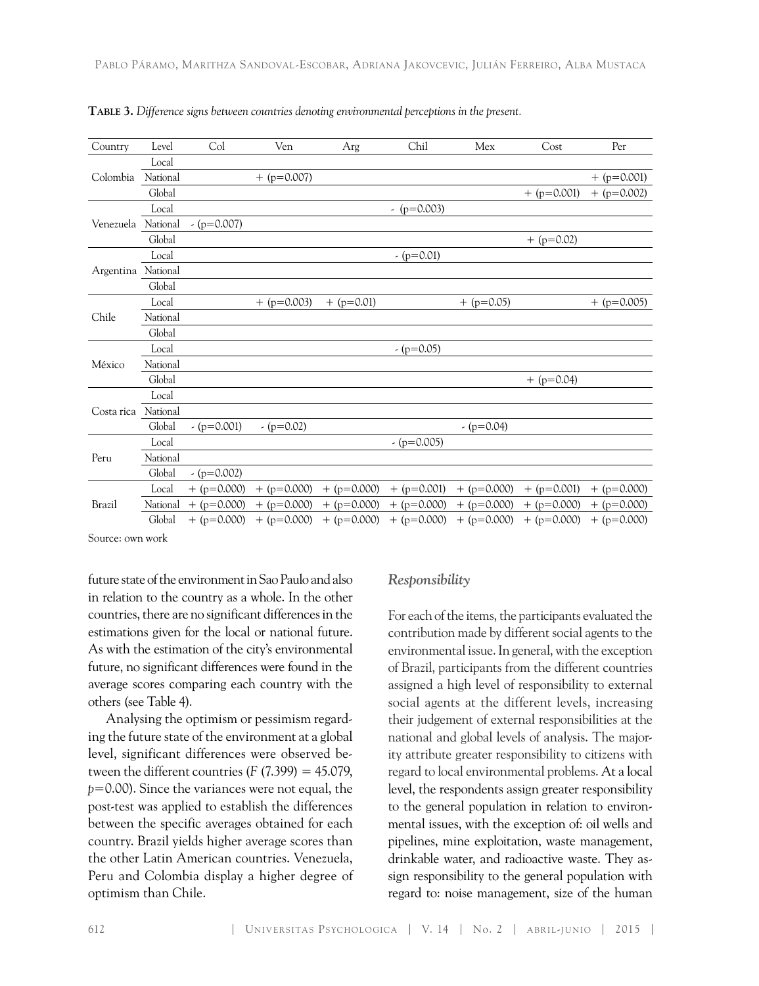| Country    | Level    | Col           | Ven           | Arg           | Chil          | Mex           | Cost          | Per           |
|------------|----------|---------------|---------------|---------------|---------------|---------------|---------------|---------------|
| Colombia   | Local    |               |               |               |               |               |               |               |
|            | National |               | $+$ (p=0.007) |               |               |               |               | $+$ (p=0.001) |
|            | Global   |               |               |               |               |               | $+$ (p=0.001) | $+$ (p=0.002) |
|            | Local    |               |               |               | $-(p=0.003)$  |               |               |               |
| Venezuela  | National | $-(p=0.007)$  |               |               |               |               |               |               |
|            | Global   |               |               |               |               |               | $+$ (p=0.02)  |               |
|            | Local    |               |               |               | $-(p=0.01)$   |               |               |               |
| Argentina  | National |               |               |               |               |               |               |               |
|            | Global   |               |               |               |               |               |               |               |
|            | Local    |               | $+$ (p=0.003) | $+$ (p=0.01)  |               | $+$ (p=0.05)  |               | $+$ (p=0.005) |
| Chile      | National |               |               |               |               |               |               |               |
|            | Global   |               |               |               |               |               |               |               |
|            | Local    |               |               |               | $-(p=0.05)$   |               |               |               |
| México     | National |               |               |               |               |               |               |               |
|            | Global   |               |               |               |               |               | $+$ (p=0.04)  |               |
|            | Local    |               |               |               |               |               |               |               |
| Costa rica | National |               |               |               |               |               |               |               |
|            | Global   | $-(p=0.001)$  | $-(p=0.02)$   |               |               | $-(p=0.04)$   |               |               |
| Peru       | Local    |               |               |               | $-(p=0.005)$  |               |               |               |
|            | National |               |               |               |               |               |               |               |
|            | Global   | $-(p=0.002)$  |               |               |               |               |               |               |
|            | Local    | $+$ (p=0.000) | $+$ (p=0.000) | $+$ (p=0.000) | $+$ (p=0.001) | $+$ (p=0.000) | $+$ (p=0.001) | $+$ (p=0.000) |
| Brazil     | National | $+$ (p=0.000) | $+$ (p=0.000) | $+$ (p=0.000) | $+$ (p=0.000) | $+$ (p=0.000) | $+$ (p=0.000) | $+$ (p=0.000) |
|            | Global   | $+$ (p=0.000) | $+$ (p=0.000) | $+$ (p=0.000) | $+$ (p=0.000) | $+$ (p=0.000) | $+$ (p=0.000) | $+$ (p=0.000) |

**Table 3.** *Difference signs between countries denoting environmental perceptions in the present.*

Source: own work

future state of the environment in Sao Paulo and also in relation to the country as a whole. In the other countries, there are no significant differences in the estimations given for the local or national future. As with the estimation of the city's environmental future, no significant differences were found in the average scores comparing each country with the others (see Table 4).

Analysing the optimism or pessimism regarding the future state of the environment at a global level, significant differences were observed between the different countries  $(F (7.399) = 45.079)$ , *p*=0.00). Since the variances were not equal, the post-test was applied to establish the differences between the specific averages obtained for each country. Brazil yields higher average scores than the other Latin American countries. Venezuela, Peru and Colombia display a higher degree of optimism than Chile.

#### *Responsibility*

For each of the items, the participants evaluated the contribution made by different social agents to the environmental issue. In general, with the exception of Brazil, participants from the different countries assigned a high level of responsibility to external social agents at the different levels, increasing their judgement of external responsibilities at the national and global levels of analysis. The majority attribute greater responsibility to citizens with regard to local environmental problems. At a local level, the respondents assign greater responsibility to the general population in relation to environmental issues, with the exception of: oil wells and pipelines, mine exploitation, waste management, drinkable water, and radioactive waste. They assign responsibility to the general population with regard to: noise management, size of the human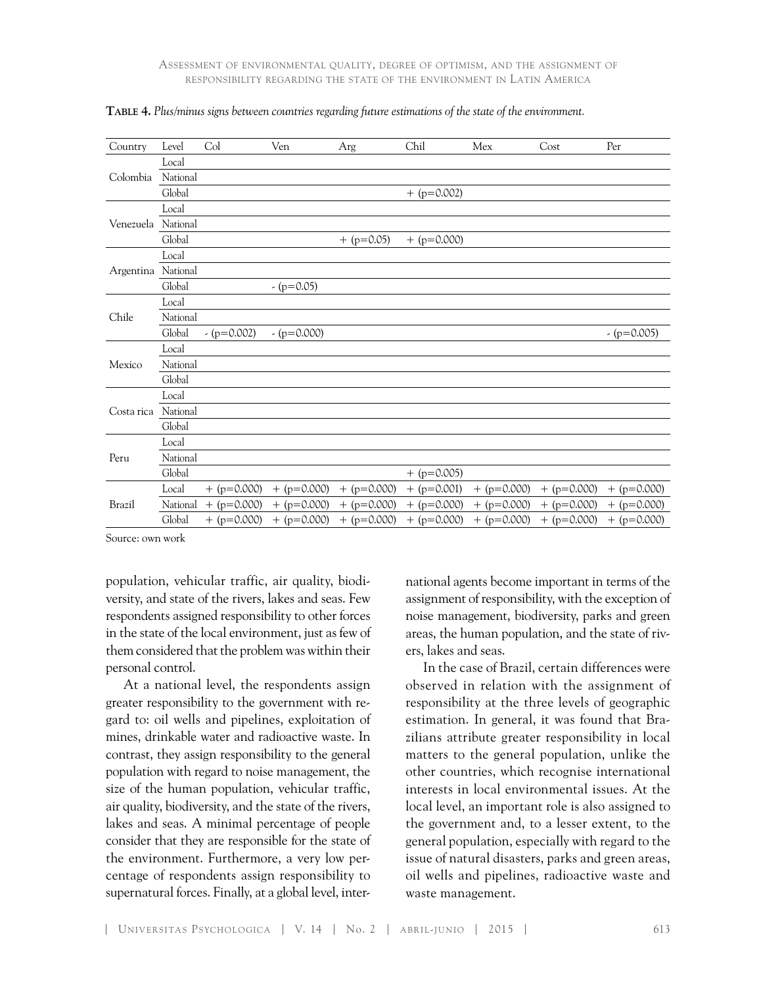| Country            | Level    | Col           | Ven           | Arg           | Chil          | Mex           | Cost          | Per           |
|--------------------|----------|---------------|---------------|---------------|---------------|---------------|---------------|---------------|
| Colombia           | Local    |               |               |               |               |               |               |               |
|                    | National |               |               |               |               |               |               |               |
|                    | Global   |               |               |               | $+$ (p=0.002) |               |               |               |
| Venezuela National | Local    |               |               |               |               |               |               |               |
|                    |          |               |               |               |               |               |               |               |
|                    | Global   |               |               | $+$ (p=0.05)  | $+$ (p=0.000) |               |               |               |
|                    | Local    |               |               |               |               |               |               |               |
| Argentina National |          |               |               |               |               |               |               |               |
|                    | Global   |               | $-(p=0.05)$   |               |               |               |               |               |
|                    | Local    |               |               |               |               |               |               |               |
| Chile              | National |               |               |               |               |               |               |               |
|                    | Global   | $-(p=0.002)$  | $-(p=0.000)$  |               |               |               |               | $-(p=0.005)$  |
|                    | Local    |               |               |               |               |               |               |               |
| Mexico             | National |               |               |               |               |               |               |               |
|                    | Global   |               |               |               |               |               |               |               |
|                    | Local    |               |               |               |               |               |               |               |
| Costa rica         | National |               |               |               |               |               |               |               |
|                    | Global   |               |               |               |               |               |               |               |
| Peru               | Local    |               |               |               |               |               |               |               |
|                    | National |               |               |               |               |               |               |               |
|                    | Global   |               |               |               | $+$ (p=0.005) |               |               |               |
| Brazil             | Local    | $+$ (p=0.000) | $+$ (p=0.000) | $+$ (p=0.000) | $+$ (p=0.001) | $+$ (p=0.000) | $+$ (p=0.000) | $+$ (p=0.000) |
|                    | National | $+$ (p=0.000) | $+$ (p=0.000) | $+$ (p=0.000) | $+$ (p=0.000) | $+$ (p=0.000) | $+$ (p=0.000) | $+$ (p=0.000) |
|                    | Global   | $+$ (p=0.000) | $+$ (p=0.000) | $+$ (p=0.000) | $+$ (p=0.000) | $+$ (p=0.000) | $+$ (p=0.000) | $+$ (p=0.000) |

**Table 4.** *Plus/minus signs between countries regarding future estimations of the state of the environment.* 

Source: own work

population, vehicular traffic, air quality, biodiversity, and state of the rivers, lakes and seas. Few respondents assigned responsibility to other forces in the state of the local environment, just as few of them considered that the problem was within their personal control.

At a national level, the respondents assign greater responsibility to the government with regard to: oil wells and pipelines, exploitation of mines, drinkable water and radioactive waste. In contrast, they assign responsibility to the general population with regard to noise management, the size of the human population, vehicular traffic, air quality, biodiversity, and the state of the rivers, lakes and seas. A minimal percentage of people consider that they are responsible for the state of the environment. Furthermore, a very low percentage of respondents assign responsibility to supernatural forces. Finally, at a global level, international agents become important in terms of the assignment of responsibility, with the exception of noise management, biodiversity, parks and green areas, the human population, and the state of rivers, lakes and seas.

In the case of Brazil, certain differences were observed in relation with the assignment of responsibility at the three levels of geographic estimation. In general, it was found that Brazilians attribute greater responsibility in local matters to the general population, unlike the other countries, which recognise international interests in local environmental issues. At the local level, an important role is also assigned to the government and, to a lesser extent, to the general population, especially with regard to the issue of natural disasters, parks and green areas, oil wells and pipelines, radioactive waste and waste management.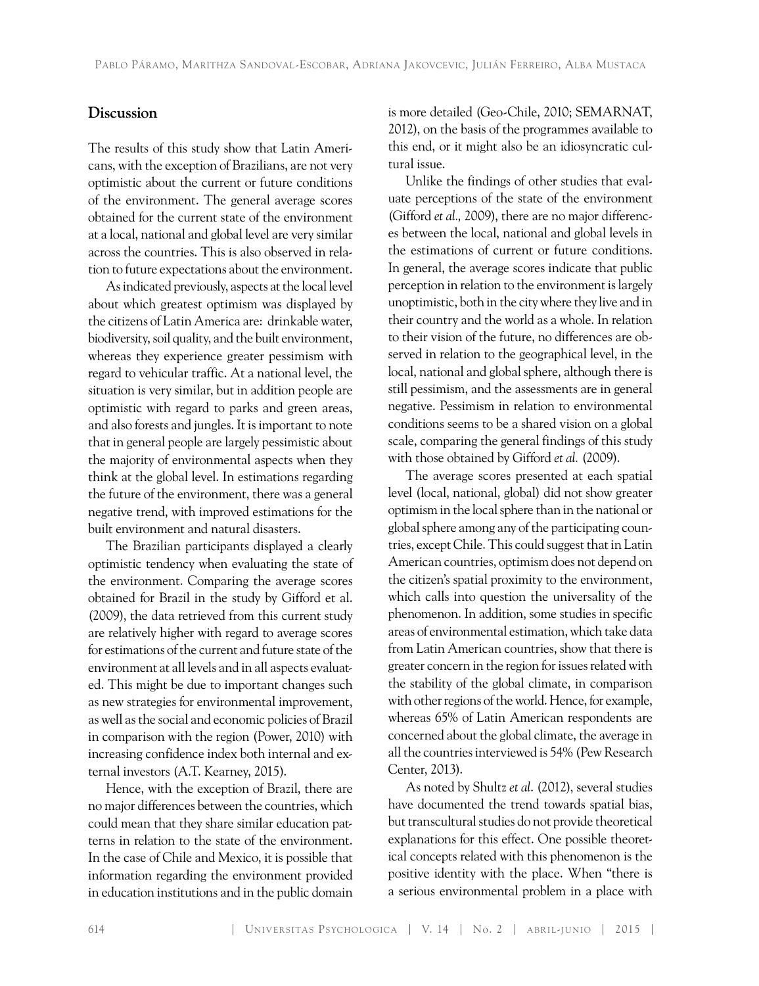#### **Discussion**

The results of this study show that Latin Americans, with the exception of Brazilians, are not very optimistic about the current or future conditions of the environment. The general average scores obtained for the current state of the environment at a local, national and global level are very similar across the countries. This is also observed in relation to future expectations about the environment.

As indicated previously, aspects at the local level about which greatest optimism was displayed by the citizens of Latin America are: drinkable water, biodiversity, soil quality, and the built environment, whereas they experience greater pessimism with regard to vehicular traffic. At a national level, the situation is very similar, but in addition people are optimistic with regard to parks and green areas, and also forests and jungles. It is important to note that in general people are largely pessimistic about the majority of environmental aspects when they think at the global level. In estimations regarding the future of the environment, there was a general negative trend, with improved estimations for the built environment and natural disasters.

The Brazilian participants displayed a clearly optimistic tendency when evaluating the state of the environment. Comparing the average scores obtained for Brazil in the study by Gifford et al. (2009), the data retrieved from this current study are relatively higher with regard to average scores for estimations of the current and future state of the environment at all levels and in all aspects evaluated. This might be due to important changes such as new strategies for environmental improvement, as well as the social and economic policies of Brazil in comparison with the region (Power, 2010) with increasing confidence index both internal and external investors (A.T. Kearney, 2015).

Hence, with the exception of Brazil, there are no major differences between the countries, which could mean that they share similar education patterns in relation to the state of the environment. In the case of Chile and Mexico, it is possible that information regarding the environment provided in education institutions and in the public domain is more detailed (Geo-Chile, 2010; SEMARNAT, 2012), on the basis of the programmes available to this end, or it might also be an idiosyncratic cultural issue.

Unlike the findings of other studies that evaluate perceptions of the state of the environment (Gifford *et al.,* 2009), there are no major differences between the local, national and global levels in the estimations of current or future conditions. In general, the average scores indicate that public perception in relation to the environment is largely unoptimistic, both in the city where they live and in their country and the world as a whole. In relation to their vision of the future, no differences are observed in relation to the geographical level, in the local, national and global sphere, although there is still pessimism, and the assessments are in general negative. Pessimism in relation to environmental conditions seems to be a shared vision on a global scale, comparing the general findings of this study with those obtained by Gifford *et al.* (2009).

The average scores presented at each spatial level (local, national, global) did not show greater optimism in the local sphere than in the national or global sphere among any of the participating countries, except Chile. This could suggest that in Latin American countries, optimism does not depend on the citizen's spatial proximity to the environment, which calls into question the universality of the phenomenon. In addition, some studies in specific areas of environmental estimation, which take data from Latin American countries, show that there is greater concern in the region for issues related with the stability of the global climate, in comparison with other regions of the world. Hence, for example, whereas 65% of Latin American respondents are concerned about the global climate, the average in all the countries interviewed is 54% (Pew Research Center, 2013).

As noted by Shultz *et al*. (2012), several studies have documented the trend towards spatial bias, but transcultural studies do not provide theoretical explanations for this effect. One possible theoretical concepts related with this phenomenon is the positive identity with the place. When "there is a serious environmental problem in a place with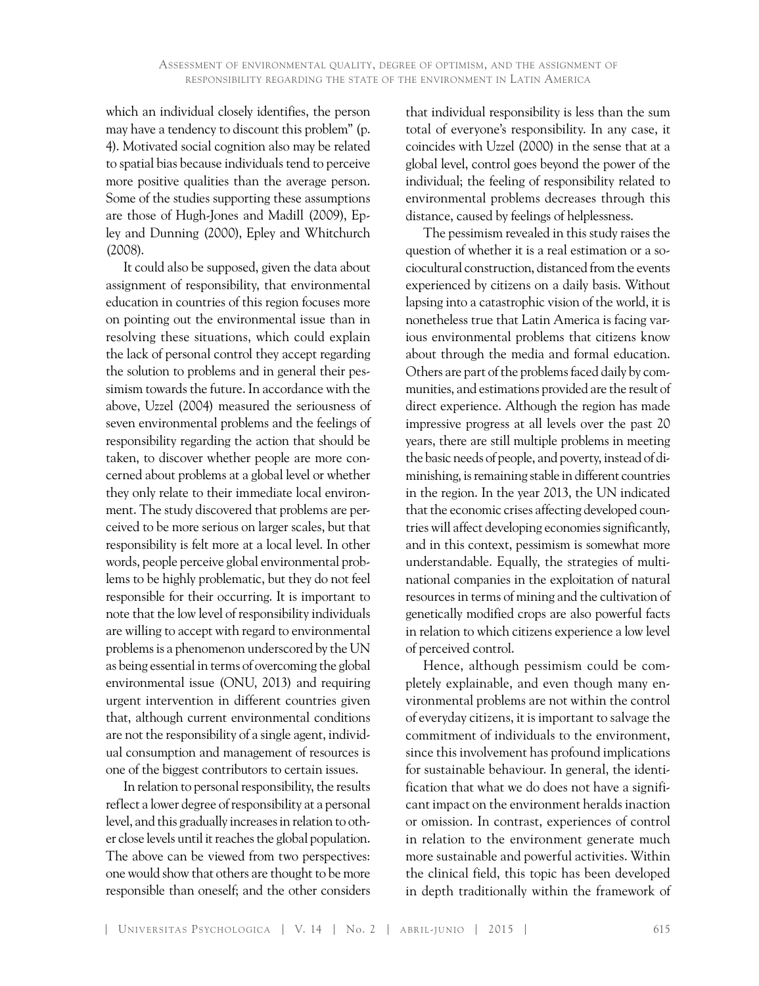which an individual closely identifies, the person may have a tendency to discount this problem" (p. 4). Motivated social cognition also may be related to spatial bias because individuals tend to perceive more positive qualities than the average person. Some of the studies supporting these assumptions are those of Hugh-Jones and Madill (2009), Epley and Dunning (2000), Epley and Whitchurch (2008).

It could also be supposed, given the data about assignment of responsibility, that environmental education in countries of this region focuses more on pointing out the environmental issue than in resolving these situations, which could explain the lack of personal control they accept regarding the solution to problems and in general their pessimism towards the future. In accordance with the above, Uzzel (2004) measured the seriousness of seven environmental problems and the feelings of responsibility regarding the action that should be taken, to discover whether people are more concerned about problems at a global level or whether they only relate to their immediate local environment. The study discovered that problems are perceived to be more serious on larger scales, but that responsibility is felt more at a local level. In other words, people perceive global environmental problems to be highly problematic, but they do not feel responsible for their occurring. It is important to note that the low level of responsibility individuals are willing to accept with regard to environmental problems is a phenomenon underscored by the UN as being essential in terms of overcoming the global environmental issue (ONU, 2013) and requiring urgent intervention in different countries given that, although current environmental conditions are not the responsibility of a single agent, individual consumption and management of resources is one of the biggest contributors to certain issues.

In relation to personal responsibility, the results reflect a lower degree of responsibility at a personal level, and this gradually increases in relation to other close levels until it reaches the global population. The above can be viewed from two perspectives: one would show that others are thought to be more responsible than oneself; and the other considers

that individual responsibility is less than the sum total of everyone's responsibility. In any case, it coincides with Uzzel (2000) in the sense that at a global level, control goes beyond the power of the individual; the feeling of responsibility related to environmental problems decreases through this distance, caused by feelings of helplessness.

The pessimism revealed in this study raises the question of whether it is a real estimation or a sociocultural construction, distanced from the events experienced by citizens on a daily basis. Without lapsing into a catastrophic vision of the world, it is nonetheless true that Latin America is facing various environmental problems that citizens know about through the media and formal education. Others are part of the problems faced daily by communities, and estimations provided are the result of direct experience. Although the region has made impressive progress at all levels over the past 20 years, there are still multiple problems in meeting the basic needs of people, and poverty, instead of diminishing, is remaining stable in different countries in the region. In the year 2013, the UN indicated that the economic crises affecting developed countries will affect developing economies significantly, and in this context, pessimism is somewhat more understandable. Equally, the strategies of multinational companies in the exploitation of natural resources in terms of mining and the cultivation of genetically modified crops are also powerful facts in relation to which citizens experience a low level of perceived control.

Hence, although pessimism could be completely explainable, and even though many environmental problems are not within the control of everyday citizens, it is important to salvage the commitment of individuals to the environment, since this involvement has profound implications for sustainable behaviour. In general, the identification that what we do does not have a significant impact on the environment heralds inaction or omission. In contrast, experiences of control in relation to the environment generate much more sustainable and powerful activities. Within the clinical field, this topic has been developed in depth traditionally within the framework of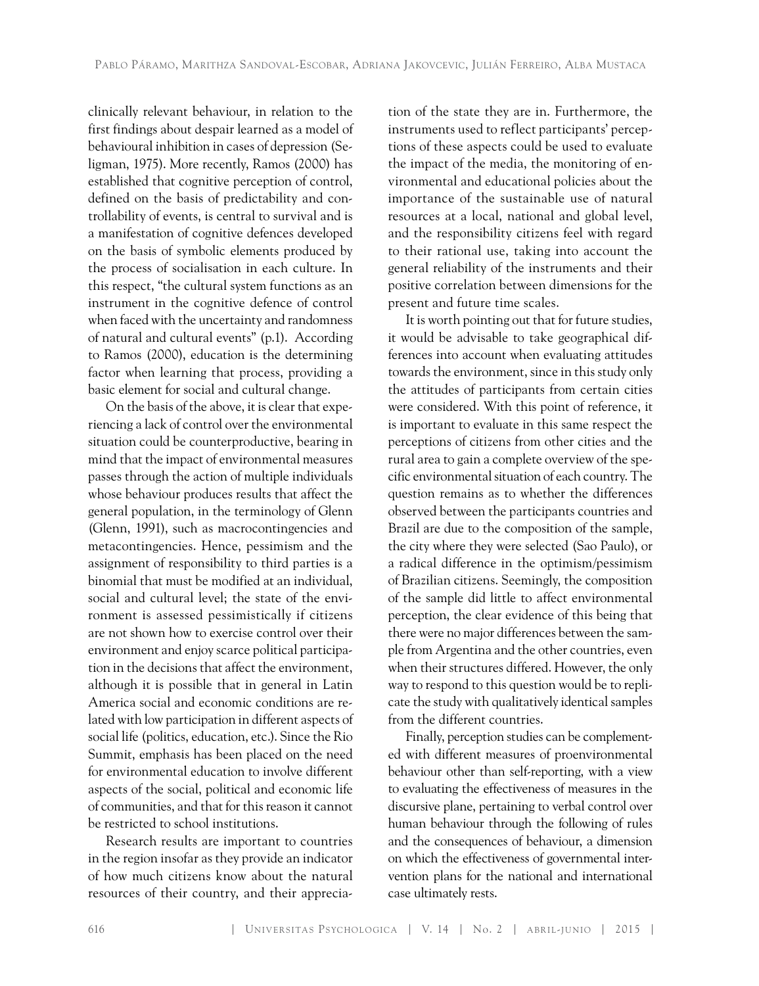clinically relevant behaviour, in relation to the first findings about despair learned as a model of behavioural inhibition in cases of depression (Seligman, 1975). More recently, Ramos (2000) has established that cognitive perception of control, defined on the basis of predictability and controllability of events, is central to survival and is a manifestation of cognitive defences developed on the basis of symbolic elements produced by the process of socialisation in each culture. In this respect, "the cultural system functions as an instrument in the cognitive defence of control when faced with the uncertainty and randomness of natural and cultural events" (p.1). According to Ramos (2000), education is the determining factor when learning that process, providing a basic element for social and cultural change.

On the basis of the above, it is clear that experiencing a lack of control over the environmental situation could be counterproductive, bearing in mind that the impact of environmental measures passes through the action of multiple individuals whose behaviour produces results that affect the general population, in the terminology of Glenn (Glenn, 1991), such as macrocontingencies and metacontingencies. Hence, pessimism and the assignment of responsibility to third parties is a binomial that must be modified at an individual, social and cultural level; the state of the environment is assessed pessimistically if citizens are not shown how to exercise control over their environment and enjoy scarce political participation in the decisions that affect the environment, although it is possible that in general in Latin America social and economic conditions are related with low participation in different aspects of social life (politics, education, etc.). Since the Rio Summit, emphasis has been placed on the need for environmental education to involve different aspects of the social, political and economic life of communities, and that for this reason it cannot be restricted to school institutions.

Research results are important to countries in the region insofar as they provide an indicator of how much citizens know about the natural resources of their country, and their apprecia-

tion of the state they are in. Furthermore, the instruments used to reflect participants' perceptions of these aspects could be used to evaluate the impact of the media, the monitoring of environmental and educational policies about the importance of the sustainable use of natural resources at a local, national and global level, and the responsibility citizens feel with regard to their rational use, taking into account the general reliability of the instruments and their positive correlation between dimensions for the present and future time scales.

It is worth pointing out that for future studies, it would be advisable to take geographical differences into account when evaluating attitudes towards the environment, since in this study only the attitudes of participants from certain cities were considered. With this point of reference, it is important to evaluate in this same respect the perceptions of citizens from other cities and the rural area to gain a complete overview of the specific environmental situation of each country. The question remains as to whether the differences observed between the participants countries and Brazil are due to the composition of the sample, the city where they were selected (Sao Paulo), or a radical difference in the optimism/pessimism of Brazilian citizens. Seemingly, the composition of the sample did little to affect environmental perception, the clear evidence of this being that there were no major differences between the sample from Argentina and the other countries, even when their structures differed. However, the only way to respond to this question would be to replicate the study with qualitatively identical samples from the different countries.

Finally, perception studies can be complemented with different measures of proenvironmental behaviour other than self-reporting, with a view to evaluating the effectiveness of measures in the discursive plane, pertaining to verbal control over human behaviour through the following of rules and the consequences of behaviour, a dimension on which the effectiveness of governmental intervention plans for the national and international case ultimately rests.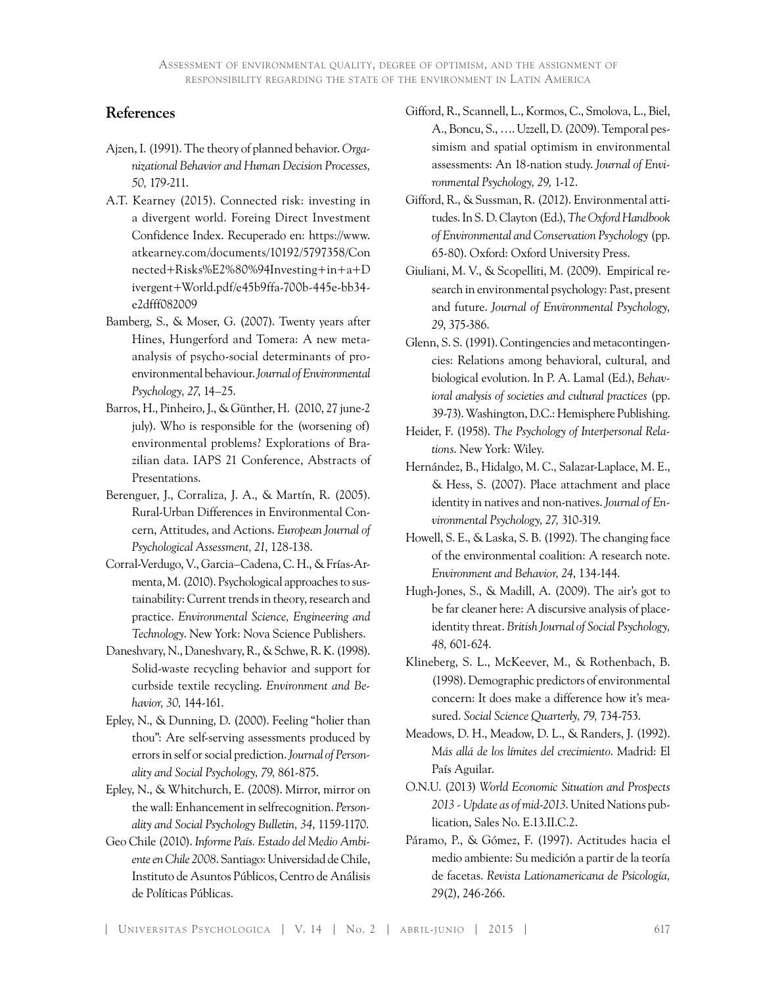## **References**

- Ajzen, I. (1991). The theory of planned behavior. *Organizational Behavior and Human Decision Processes, 50,* 179-211.
- A.T. Kearney (2015). Connected risk: investing in a divergent world. Foreing Direct Investment Confidence Index. Recuperado en: https://www. atkearney.com/documents/10192/5797358/Con nected+Risks%E2%80%94Investing+in+a+D ivergent+World.pdf/e45b9ffa-700b-445e-bb34 e2dfff082009
- Bamberg, S., & Moser, G. (2007). Twenty years after Hines, Hungerford and Tomera: A new metaanalysis of psycho-social determinants of proenvironmental behaviour. *Journal of Environmental Psychology, 27*, 14–25.
- Barros, H., Pinheiro, J., & Günther, H. (2010, 27 june-2 july). Who is responsible for the (worsening of) environmental problems? Explorations of Brazilian data. IAPS 21 Conference, Abstracts of Presentations.
- Berenguer, J., Corraliza, J. A., & Martín, R. (2005). Rural-Urban Differences in Environmental Concern, Attitudes, and Actions. *European Journal of Psychological Assessment, 21*, 128-138.
- Corral-Verdugo, V., Garcia–Cadena, C. H., & Frías-Armenta, M. (2010). Psychological approaches to sustainability: Current trends in theory, research and practice. *Environmental Science, Engineering and Technology*. New York: Nova Science Publishers.
- Daneshvary, N., Daneshvary, R., & Schwe, R. K. (1998). Solid-waste recycling behavior and support for curbside textile recycling. *Environment and Behavior, 30,* 144-161.
- Epley, N., & Dunning, D. (2000). Feeling "holier than thou": Are self-serving assessments produced by errors in self or social prediction. *Journal of Personality and Social Psychology, 79,* 861-875.
- Epley, N., & Whitchurch, E. (2008). Mirror, mirror on the wall: Enhancement in selfrecognition. *Personality and Social Psychology Bulletin, 34*, 1159-1170.
- Geo Chile (2010). *Informe País. Estado del Medio Ambiente en Chile 2008*. Santiago: Universidad de Chile, Instituto de Asuntos Públicos, Centro de Análisis de Políticas Públicas.
- Gifford, R., Scannell, L., Kormos, C., Smolova, L., Biel, A., Boncu, S., …. Uzzell, D. (2009). Temporal pessimism and spatial optimism in environmental assessments: An 18-nation study. *Journal of Environmental Psychology, 29,* 1-12.
- Gifford, R., & Sussman, R. (2012). Environmental attitudes. In S. D. Clayton (Ed.), *The Oxford Handbook of Environmental and Conservation Psychology* (pp. 65-80). Oxford: Oxford University Press.
- Giuliani, M. V., & Scopelliti, M. (2009). Empirical research in environmental psychology: Past, present and future. *Journal of Environmental Psychology, 29*, 375-386.
- Glenn, S. S. (1991). Contingencies and metacontingencies: Relations among behavioral, cultural, and biological evolution. In P. A. Lamal (Ed.), *Behavioral analysis of societies and cultural practices* (pp. 39-73). Washington, D.C.: Hemisphere Publishing.
- Heider, F. (1958). *The Psychology of Interpersonal Relations*. New York: Wiley.
- Hernández, B., Hidalgo, M. C., Salazar-Laplace, M. E., & Hess, S. (2007). Place attachment and place identity in natives and non-natives. *Journal of Environmental Psychology, 27,* 310-319.
- Howell, S. E., & Laska, S. B. (1992). The changing face of the environmental coalition: A research note. *Environment and Behavior, 24*, 134-144.
- Hugh-Jones, S., & Madill, A. (2009). The air's got to be far cleaner here: A discursive analysis of placeidentity threat. *British Journal of Social Psychology, 48,* 601-624.
- Klineberg, S. L., McKeever, M., & Rothenbach, B. (1998). Demographic predictors of environmental concern: It does make a difference how it's measured. *Social Science Quarterly, 79,* 734-753.
- Meadows, D. H., Meadow, D. L., & Randers, J. (1992). *Más allá de los límites del crecimiento*. Madrid: El País Aguilar.
- O.N.U. (2013) *World Economic Situation and Prospects 2013 - Update as of mid-2013*. United Nations publication, Sales No. E.13.II.C.2.
- Páramo, P., & Gómez, F. (1997). Actitudes hacia el medio ambiente: Su medición a partir de la teoría de facetas. *Revista Lationamericana de Psicología, 29*(2), 246-266.